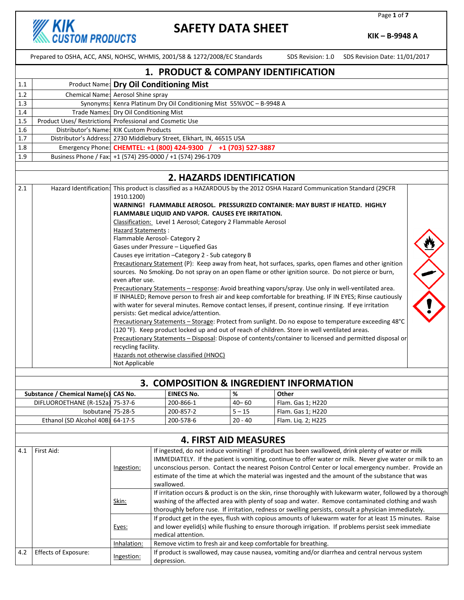**KIK**<br>CUSTOM PRODUCTS

# **SAFETY DATA SHEET**

Page **1** of **7**

**KIK – B-9948 A**

|     | Prepared to OSHA, ACC, ANSI, NOHSC, WHMIS, 2001/58 & 1272/2008/EC Standards                                 |                                                                                                                                     |                                                                                                                                                                                                            |                                                                                                                                      |                         |                    | SDS Revision: 1.0 SDS Revision Date: 11/01/2017                                                          |  |
|-----|-------------------------------------------------------------------------------------------------------------|-------------------------------------------------------------------------------------------------------------------------------------|------------------------------------------------------------------------------------------------------------------------------------------------------------------------------------------------------------|--------------------------------------------------------------------------------------------------------------------------------------|-------------------------|--------------------|----------------------------------------------------------------------------------------------------------|--|
|     | 1. PRODUCT & COMPANY IDENTIFICATION                                                                         |                                                                                                                                     |                                                                                                                                                                                                            |                                                                                                                                      |                         |                    |                                                                                                          |  |
| 1.1 |                                                                                                             |                                                                                                                                     |                                                                                                                                                                                                            | Product Name: Dry Oil Conditioning Mist                                                                                              |                         |                    |                                                                                                          |  |
| 1.2 | Chemical Name: Aerosol Shine spray                                                                          |                                                                                                                                     |                                                                                                                                                                                                            |                                                                                                                                      |                         |                    |                                                                                                          |  |
| 1.3 |                                                                                                             |                                                                                                                                     |                                                                                                                                                                                                            | Synonyms: Kenra Platinum Dry Oil Conditioning Mist 55%VOC - B-9948 A                                                                 |                         |                    |                                                                                                          |  |
| 1.4 |                                                                                                             | Trade Names: Dry Oil Conditioning Mist                                                                                              |                                                                                                                                                                                                            |                                                                                                                                      |                         |                    |                                                                                                          |  |
| 1.5 | Product Uses/ Restrictions Professional and Cosmetic Use                                                    |                                                                                                                                     |                                                                                                                                                                                                            |                                                                                                                                      |                         |                    |                                                                                                          |  |
| 1.6 | Distributor's Name: KIK Custom Products                                                                     |                                                                                                                                     |                                                                                                                                                                                                            |                                                                                                                                      |                         |                    |                                                                                                          |  |
| 1.7 |                                                                                                             |                                                                                                                                     |                                                                                                                                                                                                            | Distributor's Address: 2730 Middlebury Street, Elkhart, IN, 46515 USA                                                                |                         |                    |                                                                                                          |  |
| 1.8 |                                                                                                             |                                                                                                                                     |                                                                                                                                                                                                            | Emergency Phone: CHEMTEL: +1 (800) 424-9300 / +1 (703) 527-3887                                                                      |                         |                    |                                                                                                          |  |
| 1.9 | Business Phone / Fax: +1 (574) 295-0000 / +1 (574) 296-1709                                                 |                                                                                                                                     |                                                                                                                                                                                                            |                                                                                                                                      |                         |                    |                                                                                                          |  |
|     |                                                                                                             |                                                                                                                                     |                                                                                                                                                                                                            | 2. HAZARDS IDENTIFICATION                                                                                                            |                         |                    |                                                                                                          |  |
| 2.1 |                                                                                                             |                                                                                                                                     |                                                                                                                                                                                                            | Hazard Identification: This product is classified as a HAZARDOUS by the 2012 OSHA Hazard Communication Standard (29CFR               |                         |                    |                                                                                                          |  |
|     |                                                                                                             | 1910.1200)                                                                                                                          |                                                                                                                                                                                                            | WARNING! FLAMMABLE AEROSOL. PRESSURIZED CONTAINER: MAY BURST IF HEATED. HIGHLY<br>FLAMMABLE LIQUID AND VAPOR. CAUSES EYE IRRITATION. |                         |                    |                                                                                                          |  |
|     |                                                                                                             |                                                                                                                                     |                                                                                                                                                                                                            | Classification: Level 1 Aerosol; Category 2 Flammable Aerosol                                                                        |                         |                    |                                                                                                          |  |
|     |                                                                                                             | <b>Hazard Statements:</b>                                                                                                           |                                                                                                                                                                                                            |                                                                                                                                      |                         |                    |                                                                                                          |  |
|     |                                                                                                             | Flammable Aerosol- Category 2                                                                                                       |                                                                                                                                                                                                            |                                                                                                                                      |                         |                    |                                                                                                          |  |
|     |                                                                                                             |                                                                                                                                     |                                                                                                                                                                                                            | Gases under Pressure - Liquefied Gas                                                                                                 |                         |                    |                                                                                                          |  |
|     |                                                                                                             |                                                                                                                                     |                                                                                                                                                                                                            | Causes eye irritation - Category 2 - Sub category B                                                                                  |                         |                    |                                                                                                          |  |
|     |                                                                                                             |                                                                                                                                     |                                                                                                                                                                                                            | sources. No Smoking. Do not spray on an open flame or other ignition source. Do not pierce or burn,                                  |                         |                    | Precautionary Statement (P): Keep away from heat, hot surfaces, sparks, open flames and other ignition   |  |
|     |                                                                                                             | even after use.                                                                                                                     |                                                                                                                                                                                                            |                                                                                                                                      |                         |                    |                                                                                                          |  |
|     |                                                                                                             |                                                                                                                                     |                                                                                                                                                                                                            | Precautionary Statements - response: Avoid breathing vapors/spray. Use only in well-ventilated area.                                 |                         |                    |                                                                                                          |  |
|     |                                                                                                             |                                                                                                                                     |                                                                                                                                                                                                            |                                                                                                                                      |                         |                    | IF INHALED; Remove person to fresh air and keep comfortable for breathing. IF IN EYES; Rinse cautiously  |  |
|     |                                                                                                             |                                                                                                                                     |                                                                                                                                                                                                            | with water for several minutes. Remove contact lenses, if present, continue rinsing. If eye irritation                               |                         |                    |                                                                                                          |  |
|     |                                                                                                             |                                                                                                                                     |                                                                                                                                                                                                            | persists: Get medical advice/attention.                                                                                              |                         |                    |                                                                                                          |  |
|     |                                                                                                             |                                                                                                                                     |                                                                                                                                                                                                            |                                                                                                                                      |                         |                    | Precautionary Statements - Storage: Protect from sunlight. Do no expose to temperature exceeding 48°C    |  |
|     |                                                                                                             |                                                                                                                                     | (120 °F). Keep product locked up and out of reach of children. Store in well ventilated areas.<br>Precautionary Statements - Disposal: Dispose of contents/container to licensed and permitted disposal or |                                                                                                                                      |                         |                    |                                                                                                          |  |
|     |                                                                                                             | recycling facility.                                                                                                                 |                                                                                                                                                                                                            |                                                                                                                                      |                         |                    |                                                                                                          |  |
|     |                                                                                                             |                                                                                                                                     |                                                                                                                                                                                                            | Hazards not otherwise classified (HNOC)                                                                                              |                         |                    |                                                                                                          |  |
|     |                                                                                                             | Not Applicable                                                                                                                      |                                                                                                                                                                                                            |                                                                                                                                      |                         |                    |                                                                                                          |  |
|     |                                                                                                             |                                                                                                                                     |                                                                                                                                                                                                            |                                                                                                                                      |                         |                    |                                                                                                          |  |
|     |                                                                                                             |                                                                                                                                     |                                                                                                                                                                                                            | 3. COMPOSITION & INGREDIENT INFORMATION                                                                                              |                         |                    |                                                                                                          |  |
|     | Substance / Chemical Name(s) CAS No.                                                                        |                                                                                                                                     |                                                                                                                                                                                                            | <b>EINECS No.</b>                                                                                                                    | $\overline{\mathbf{8}}$ | Other              |                                                                                                          |  |
|     | DIFLUOROETHANE (R-152a) 75-37-6                                                                             |                                                                                                                                     |                                                                                                                                                                                                            | 200-866-1                                                                                                                            | $40 - 60$               | Flam. Gas 1; H220  |                                                                                                          |  |
|     | Isobutane 75-28-5                                                                                           |                                                                                                                                     |                                                                                                                                                                                                            | 200-857-2                                                                                                                            | $5 - 15$                | Flam. Gas 1; H220  |                                                                                                          |  |
|     | Ethanol (SD Alcohol 40B) 64-17-5                                                                            |                                                                                                                                     |                                                                                                                                                                                                            | 200-578-6                                                                                                                            | $20 - 40$               | Flam. Lig. 2; H225 |                                                                                                          |  |
|     |                                                                                                             |                                                                                                                                     |                                                                                                                                                                                                            |                                                                                                                                      |                         |                    |                                                                                                          |  |
|     | <b>4. FIRST AID MEASURES</b>                                                                                |                                                                                                                                     |                                                                                                                                                                                                            |                                                                                                                                      |                         |                    |                                                                                                          |  |
| 4.1 | First Aid:                                                                                                  |                                                                                                                                     |                                                                                                                                                                                                            |                                                                                                                                      |                         |                    | If ingested, do not induce vomiting! If product has been swallowed, drink plenty of water or milk        |  |
|     |                                                                                                             |                                                                                                                                     |                                                                                                                                                                                                            |                                                                                                                                      |                         |                    | IMMEDIATELY. If the patient is vomiting, continue to offer water or milk. Never give water or milk to an |  |
|     |                                                                                                             | <u>Ingestion:</u>                                                                                                                   |                                                                                                                                                                                                            |                                                                                                                                      |                         |                    | unconscious person. Contact the nearest Poison Control Center or local emergency number. Provide an      |  |
|     |                                                                                                             |                                                                                                                                     |                                                                                                                                                                                                            |                                                                                                                                      |                         |                    | estimate of the time at which the material was ingested and the amount of the substance that was         |  |
|     |                                                                                                             |                                                                                                                                     |                                                                                                                                                                                                            | swallowed.                                                                                                                           |                         |                    |                                                                                                          |  |
|     | If irritation occurs & product is on the skin, rinse thoroughly with lukewarm water, followed by a thorough |                                                                                                                                     |                                                                                                                                                                                                            |                                                                                                                                      |                         |                    |                                                                                                          |  |
|     | washing of the affected area with plenty of soap and water. Remove contaminated clothing and wash<br>Skin:  |                                                                                                                                     |                                                                                                                                                                                                            |                                                                                                                                      |                         |                    |                                                                                                          |  |
|     | thoroughly before ruse. If irritation, redness or swelling persists, consult a physician immediately.       |                                                                                                                                     |                                                                                                                                                                                                            |                                                                                                                                      |                         |                    |                                                                                                          |  |
|     |                                                                                                             | If product get in the eyes, flush with copious amounts of lukewarm water for at least 15 minutes. Raise                             |                                                                                                                                                                                                            |                                                                                                                                      |                         |                    |                                                                                                          |  |
|     |                                                                                                             | and lower eyelid(s) while flushing to ensure thorough irrigation. If problems persist seek immediate<br>Eyes:<br>medical attention. |                                                                                                                                                                                                            |                                                                                                                                      |                         |                    |                                                                                                          |  |
|     |                                                                                                             | Inhalation:                                                                                                                         |                                                                                                                                                                                                            | Remove victim to fresh air and keep comfortable for breathing.                                                                       |                         |                    |                                                                                                          |  |
| 4.2 | Effects of Exposure:                                                                                        |                                                                                                                                     |                                                                                                                                                                                                            |                                                                                                                                      |                         |                    | If product is swallowed, may cause nausea, vomiting and/or diarrhea and central nervous system           |  |
|     |                                                                                                             | Ingestion:                                                                                                                          |                                                                                                                                                                                                            | depression.                                                                                                                          |                         |                    |                                                                                                          |  |
|     |                                                                                                             |                                                                                                                                     |                                                                                                                                                                                                            |                                                                                                                                      |                         |                    |                                                                                                          |  |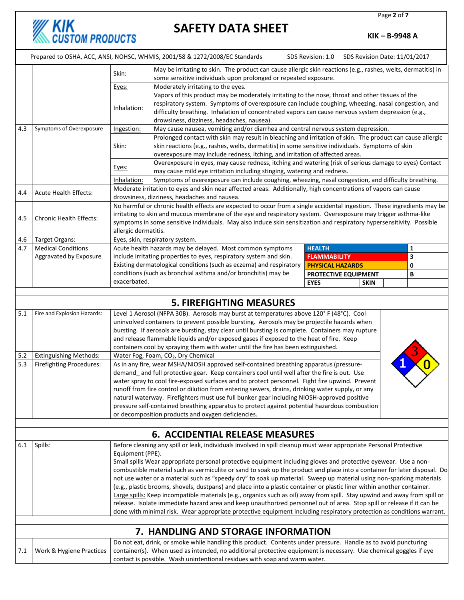Page **2** of **7**

## **SAFETY DATA SHEET**

**KIK**<br>CUSTOM PRODUCTS

**KIK – B-9948 A**

|     |                                                                                                                         |                                                                                                                                                                                                                                                                                                                                                                                                                                                                              | Prepared to OSHA, ACC, ANSI, NOHSC, WHMIS, 2001/58 & 1272/2008/EC Standards                                                                            | SDS Revision: 1.0       | SDS Revision Date: 11/01/2017 |   |
|-----|-------------------------------------------------------------------------------------------------------------------------|------------------------------------------------------------------------------------------------------------------------------------------------------------------------------------------------------------------------------------------------------------------------------------------------------------------------------------------------------------------------------------------------------------------------------------------------------------------------------|--------------------------------------------------------------------------------------------------------------------------------------------------------|-------------------------|-------------------------------|---|
|     |                                                                                                                         |                                                                                                                                                                                                                                                                                                                                                                                                                                                                              | May be irritating to skin. The product can cause allergic skin reactions (e.g., rashes, welts, dermatitis) in                                          |                         |                               |   |
|     |                                                                                                                         | Skin:                                                                                                                                                                                                                                                                                                                                                                                                                                                                        | some sensitive individuals upon prolonged or repeated exposure.                                                                                        |                         |                               |   |
|     |                                                                                                                         | Moderately irritating to the eyes.<br>Eyes:                                                                                                                                                                                                                                                                                                                                                                                                                                  |                                                                                                                                                        |                         |                               |   |
|     |                                                                                                                         |                                                                                                                                                                                                                                                                                                                                                                                                                                                                              | Vapors of this product may be moderately irritating to the nose, throat and other tissues of the                                                       |                         |                               |   |
|     |                                                                                                                         |                                                                                                                                                                                                                                                                                                                                                                                                                                                                              | respiratory system. Symptoms of overexposure can include coughing, wheezing, nasal congestion, and                                                     |                         |                               |   |
|     |                                                                                                                         | Inhalation:                                                                                                                                                                                                                                                                                                                                                                                                                                                                  | difficulty breathing. Inhalation of concentrated vapors can cause nervous system depression (e.g.,                                                     |                         |                               |   |
|     |                                                                                                                         |                                                                                                                                                                                                                                                                                                                                                                                                                                                                              | drowsiness, dizziness, headaches, nausea).                                                                                                             |                         |                               |   |
| 4.3 | Symptoms of Overexposure                                                                                                | Ingestion:                                                                                                                                                                                                                                                                                                                                                                                                                                                                   | May cause nausea, vomiting and/or diarrhea and central nervous system depression.                                                                      |                         |                               |   |
|     |                                                                                                                         |                                                                                                                                                                                                                                                                                                                                                                                                                                                                              | Prolonged contact with skin may result in bleaching and irritation of skin. The product can cause allergic                                             |                         |                               |   |
|     |                                                                                                                         | Skin:                                                                                                                                                                                                                                                                                                                                                                                                                                                                        | skin reactions (e.g., rashes, welts, dermatitis) in some sensitive individuals. Symptoms of skin                                                       |                         |                               |   |
|     |                                                                                                                         |                                                                                                                                                                                                                                                                                                                                                                                                                                                                              | overexposure may include redness, itching, and irritation of affected areas.                                                                           |                         |                               |   |
|     |                                                                                                                         |                                                                                                                                                                                                                                                                                                                                                                                                                                                                              | Overexposure in eyes, may cause redness, itching and watering (risk of serious damage to eyes) Contact                                                 |                         |                               |   |
|     |                                                                                                                         | Eyes:                                                                                                                                                                                                                                                                                                                                                                                                                                                                        | may cause mild eye irritation including stinging, watering and redness.                                                                                |                         |                               |   |
|     |                                                                                                                         | Inhalation:                                                                                                                                                                                                                                                                                                                                                                                                                                                                  | Symptoms of overexposure can include coughing, wheezing, nasal congestion, and difficulty breathing.                                                   |                         |                               |   |
|     | <b>Acute Health Effects:</b>                                                                                            |                                                                                                                                                                                                                                                                                                                                                                                                                                                                              | Moderate irritation to eyes and skin near affected areas. Additionally, high concentrations of vapors can cause                                        |                         |                               |   |
| 4.4 |                                                                                                                         |                                                                                                                                                                                                                                                                                                                                                                                                                                                                              | drowsiness, dizziness, headaches and nausea.                                                                                                           |                         |                               |   |
|     |                                                                                                                         |                                                                                                                                                                                                                                                                                                                                                                                                                                                                              | No harmful or chronic health effects are expected to occur from a single accidental ingestion. These ingredients may be                                |                         |                               |   |
| 4.5 | <b>Chronic Health Effects:</b>                                                                                          |                                                                                                                                                                                                                                                                                                                                                                                                                                                                              | irritating to skin and mucous membrane of the eye and respiratory system. Overexposure may trigger asthma-like                                         |                         |                               |   |
|     |                                                                                                                         |                                                                                                                                                                                                                                                                                                                                                                                                                                                                              | symptoms in some sensitive individuals. May also induce skin sensitization and respiratory hypersensitivity. Possible                                  |                         |                               |   |
|     |                                                                                                                         | allergic dermatitis.                                                                                                                                                                                                                                                                                                                                                                                                                                                         |                                                                                                                                                        |                         |                               |   |
| 4.6 | Target Organs:                                                                                                          |                                                                                                                                                                                                                                                                                                                                                                                                                                                                              | Eyes, skin, respiratory system.                                                                                                                        |                         |                               |   |
| 4.7 | <b>Medical Conditions</b>                                                                                               |                                                                                                                                                                                                                                                                                                                                                                                                                                                                              | Acute health hazards may be delayed. Most common symptoms                                                                                              | <b>HEALTH</b>           |                               | 1 |
|     | Aggravated by Exposure                                                                                                  |                                                                                                                                                                                                                                                                                                                                                                                                                                                                              | include irritating properties to eyes, respiratory system and skin.                                                                                    | <b>FLAMMABILITY</b>     |                               | 3 |
|     |                                                                                                                         |                                                                                                                                                                                                                                                                                                                                                                                                                                                                              | Existing dermatological conditions (such as eczema) and respiratory                                                                                    | <b>PHYSICAL HAZARDS</b> |                               | 0 |
|     |                                                                                                                         |                                                                                                                                                                                                                                                                                                                                                                                                                                                                              | conditions (such as bronchial asthma and/or bronchitis) may be                                                                                         | PROTECTIVE EQUIPMENT    |                               | В |
|     |                                                                                                                         | exacerbated.                                                                                                                                                                                                                                                                                                                                                                                                                                                                 |                                                                                                                                                        | <b>EYES</b>             | <b>SKIN</b>                   |   |
|     |                                                                                                                         |                                                                                                                                                                                                                                                                                                                                                                                                                                                                              |                                                                                                                                                        |                         |                               |   |
|     |                                                                                                                         |                                                                                                                                                                                                                                                                                                                                                                                                                                                                              | <b>5. FIREFIGHTING MEASURES</b>                                                                                                                        |                         |                               |   |
| 5.1 | Fire and Explosion Hazards:                                                                                             | Level 1 Aerosol (NFPA 30B). Aerosols may burst at temperatures above 120° F (48°C). Cool<br>uninvolved containers to prevent possible bursting. Aerosols may be projectile hazards when<br>bursting. If aerosols are bursting, stay clear until bursting is complete. Containers may rupture<br>and release flammable liquids and/or exposed gases if exposed to the heat of fire. Keep<br>containers cool by spraying them with water until the fire has been extinguished. |                                                                                                                                                        |                         |                               |   |
| 5.2 | <b>Extinguishing Methods:</b>                                                                                           |                                                                                                                                                                                                                                                                                                                                                                                                                                                                              | Water Fog, Foam, CO <sub>2</sub> , Dry Chemical                                                                                                        |                         |                               |   |
| 5.3 | Firefighting Procedures:                                                                                                |                                                                                                                                                                                                                                                                                                                                                                                                                                                                              | As in any fire, wear MSHA/NIOSH approved self-contained breathing apparatus (pressure-                                                                 |                         |                               |   |
|     |                                                                                                                         | demand_and full protective gear. Keep containers cool until well after the fire is out. Use                                                                                                                                                                                                                                                                                                                                                                                  |                                                                                                                                                        |                         |                               |   |
|     |                                                                                                                         |                                                                                                                                                                                                                                                                                                                                                                                                                                                                              | water spray to cool fire-exposed surfaces and to protect personnel. Fight fire upwind. Prevent                                                         |                         |                               |   |
|     |                                                                                                                         |                                                                                                                                                                                                                                                                                                                                                                                                                                                                              | runoff from fire control or dilution from entering sewers, drains, drinking water supply, or any                                                       |                         |                               |   |
|     |                                                                                                                         |                                                                                                                                                                                                                                                                                                                                                                                                                                                                              | natural waterway. Firefighters must use full bunker gear including NIOSH-approved positive                                                             |                         |                               |   |
|     |                                                                                                                         |                                                                                                                                                                                                                                                                                                                                                                                                                                                                              | pressure self-contained breathing apparatus to protect against potential hazardous combustion                                                          |                         |                               |   |
|     |                                                                                                                         |                                                                                                                                                                                                                                                                                                                                                                                                                                                                              | or decomposition products and oxygen deficiencies.                                                                                                     |                         |                               |   |
|     |                                                                                                                         |                                                                                                                                                                                                                                                                                                                                                                                                                                                                              |                                                                                                                                                        |                         |                               |   |
|     |                                                                                                                         |                                                                                                                                                                                                                                                                                                                                                                                                                                                                              | <b>6. ACCIDENTIAL RELEASE MEASURES</b>                                                                                                                 |                         |                               |   |
| 6.1 | Spills:                                                                                                                 | Equipment (PPE).                                                                                                                                                                                                                                                                                                                                                                                                                                                             | Before cleaning any spill or leak, individuals involved in spill cleanup must wear appropriate Personal Protective                                     |                         |                               |   |
|     |                                                                                                                         |                                                                                                                                                                                                                                                                                                                                                                                                                                                                              | Small spills Wear appropriate personal protective equipment including gloves and protective eyewear. Use a non-                                        |                         |                               |   |
|     |                                                                                                                         |                                                                                                                                                                                                                                                                                                                                                                                                                                                                              | combustible material such as vermiculite or sand to soak up the product and place into a container for later disposal. Do                              |                         |                               |   |
|     |                                                                                                                         |                                                                                                                                                                                                                                                                                                                                                                                                                                                                              | not use water or a material such as "speedy dry" to soak up material. Sweep up material using non-sparking materials                                   |                         |                               |   |
|     | (e.g., plastic brooms, shovels, dustpans) and place into a plastic container or plastic liner within another container. |                                                                                                                                                                                                                                                                                                                                                                                                                                                                              |                                                                                                                                                        |                         |                               |   |
|     |                                                                                                                         |                                                                                                                                                                                                                                                                                                                                                                                                                                                                              | Large spills: Keep incompatible materials (e.g., organics such as oil) away from spill. Stay upwind and away from spill or                             |                         |                               |   |
|     |                                                                                                                         | release. Isolate immediate hazard area and keep unauthorized personnel out of area. Stop spill or release if it can be                                                                                                                                                                                                                                                                                                                                                       |                                                                                                                                                        |                         |                               |   |
|     |                                                                                                                         |                                                                                                                                                                                                                                                                                                                                                                                                                                                                              | done with minimal risk. Wear appropriate protective equipment including respiratory protection as conditions warrant.                                  |                         |                               |   |
|     |                                                                                                                         |                                                                                                                                                                                                                                                                                                                                                                                                                                                                              |                                                                                                                                                        |                         |                               |   |
|     |                                                                                                                         |                                                                                                                                                                                                                                                                                                                                                                                                                                                                              | 7. HANDLING AND STORAGE INFORMATION<br>Do not eat, drink, or smoke while handling this product. Contents under pressure. Handle as to avoid puncturing |                         |                               |   |
| 7.1 | Work & Hygiene Practices                                                                                                |                                                                                                                                                                                                                                                                                                                                                                                                                                                                              | container(s). When used as intended, no additional protective equipment is necessary. Use chemical goggles if eye                                      |                         |                               |   |
|     |                                                                                                                         |                                                                                                                                                                                                                                                                                                                                                                                                                                                                              | contact is possible. Wash unintentional residues with soap and warm water.                                                                             |                         |                               |   |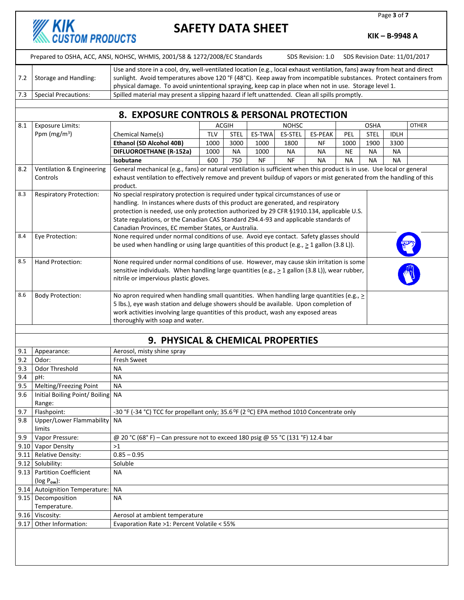# **KIK**<br>CUSTOM PRODUCTS

## **SAFETY DATA SHEET**

Page **3** of **7**

**KIK – B-9948 A**

|     |                                                                                                                                                                                                                                                                                                                                                                                 | Prepared to OSHA, ACC, ANSI, NOHSC, WHMIS, 2001/58 & 1272/2008/EC Standards                                                                                                                                                                               |            |             |        |                | SDS Revision: 1.0 |            | SDS Revision Date: 11/01/2017 |             |              |
|-----|---------------------------------------------------------------------------------------------------------------------------------------------------------------------------------------------------------------------------------------------------------------------------------------------------------------------------------------------------------------------------------|-----------------------------------------------------------------------------------------------------------------------------------------------------------------------------------------------------------------------------------------------------------|------------|-------------|--------|----------------|-------------------|------------|-------------------------------|-------------|--------------|
| 7.2 | Use and store in a cool, dry, well-ventilated location (e.g., local exhaust ventilation, fans) away from heat and direct<br>sunlight. Avoid temperatures above 120 °F (48°C). Keep away from incompatible substances. Protect containers from<br>Storage and Handling:<br>physical damage. To avoid unintentional spraying, keep cap in place when not in use. Storage level 1. |                                                                                                                                                                                                                                                           |            |             |        |                |                   |            |                               |             |              |
| 7.3 | <b>Special Precautions:</b>                                                                                                                                                                                                                                                                                                                                                     | Spilled material may present a slipping hazard if left unattended. Clean all spills promptly.                                                                                                                                                             |            |             |        |                |                   |            |                               |             |              |
|     |                                                                                                                                                                                                                                                                                                                                                                                 |                                                                                                                                                                                                                                                           |            |             |        |                |                   |            |                               |             |              |
|     | 8. EXPOSURE CONTROLS & PERSONAL PROTECTION                                                                                                                                                                                                                                                                                                                                      |                                                                                                                                                                                                                                                           |            |             |        |                |                   |            |                               |             |              |
| 8.1 | <b>Exposure Limits:</b>                                                                                                                                                                                                                                                                                                                                                         |                                                                                                                                                                                                                                                           |            | ACGIH       |        | <b>NOHSC</b>   |                   |            | <b>OSHA</b>                   |             | <b>OTHER</b> |
|     | Ppm ( $mg/m3$ )                                                                                                                                                                                                                                                                                                                                                                 | <b>Chemical Name(s)</b>                                                                                                                                                                                                                                   | <b>TLV</b> | <b>STEL</b> | ES-TWA | <b>ES-STEL</b> | ES-PEAK           | <b>PEL</b> | <b>STEL</b>                   | <b>IDLH</b> |              |
|     |                                                                                                                                                                                                                                                                                                                                                                                 | <b>Ethanol (SD Alcohol 40B)</b>                                                                                                                                                                                                                           | 1000       | 3000        | 1000   | 1800           | NF                | 1000       | 1900                          | 3300        |              |
|     |                                                                                                                                                                                                                                                                                                                                                                                 | DIFLUOROETHANE (R-152a)                                                                                                                                                                                                                                   | 1000       | <b>NA</b>   | 1000   | <b>NA</b>      | NА                | <b>NE</b>  | <b>NA</b>                     | <b>NA</b>   |              |
|     |                                                                                                                                                                                                                                                                                                                                                                                 | <b>Isobutane</b>                                                                                                                                                                                                                                          | 600        | 750         | NF     | NF             | <b>NA</b>         | <b>NA</b>  | <b>NA</b>                     | <b>NA</b>   |              |
| 8.2 | Ventilation & Engineering<br>Controls                                                                                                                                                                                                                                                                                                                                           | General mechanical (e.g., fans) or natural ventilation is sufficient when this product is in use. Use local or general<br>exhaust ventilation to effectively remove and prevent buildup of vapors or mist generated from the handling of this<br>product. |            |             |        |                |                   |            |                               |             |              |

|     |                                | product.                                                                                                                                                                                                                                                                                                                                                                                                             |              |
|-----|--------------------------------|----------------------------------------------------------------------------------------------------------------------------------------------------------------------------------------------------------------------------------------------------------------------------------------------------------------------------------------------------------------------------------------------------------------------|--------------|
| 8.3 | <b>Respiratory Protection:</b> | No special respiratory protection is required under typical circumstances of use or<br>handling. In instances where dusts of this product are generated, and respiratory<br>protection is needed, use only protection authorized by 29 CFR §1910.134, applicable U.S.<br>State regulations, or the Canadian CAS Standard Z94.4-93 and applicable standards of<br>Canadian Provinces, EC member States, or Australia. |              |
| 8.4 | Eye Protection:                | None required under normal conditions of use. Avoid eye contact. Safety glasses should<br>be used when handling or using large quantities of this product (e.g., $\geq 1$ gallon (3.8 L)).                                                                                                                                                                                                                           | తా           |
| 8.5 | Hand Protection:               | None required under normal conditions of use. However, may cause skin irritation is some<br>sensitive individuals. When handling large quantities (e.g., $\geq 1$ gallon (3.8 L)), wear rubber,<br>nitrile or impervious plastic gloves.                                                                                                                                                                             | $\mathbb{N}$ |
| 8.6 | <b>Body Protection:</b>        | No apron required when handling small quantities. When handling large quantities (e.g., $>$<br>5 lbs.), eye wash station and deluge showers should be available. Upon completion of<br>work activities involving large quantities of this product, wash any exposed areas<br>thoroughly with soap and water.                                                                                                         |              |

#### **9. PHYSICAL & CHEMICAL PROPERTIES**

| 9.1  | Appearance:                      | Aerosol, misty shine spray                                                               |
|------|----------------------------------|------------------------------------------------------------------------------------------|
| 9.2  | Odor:                            | Fresh Sweet                                                                              |
| 9.3  | Odor Threshold                   | <b>NA</b>                                                                                |
| 9.4  | pH:                              | <b>NA</b>                                                                                |
| 9.5  | Melting/Freezing Point           | <b>NA</b>                                                                                |
| 9.6  | Initial Boiling Point/Boiling NA |                                                                                          |
|      | Range:                           |                                                                                          |
| 9.7  | Flashpoint:                      | -30 °F (-34 °C) TCC for propellant only; 35.6 °F (2 °C) EPA method 1010 Concentrate only |
| 9.8  | Upper/Lower Flammability         | ΝA                                                                                       |
|      | limits                           |                                                                                          |
| 9.9  | Vapor Pressure:                  | @ 20 °C (68° F) – Can pressure not to exceed 180 psig @ 55 °C (131 °F) 12.4 bar          |
|      | 9.10 Vapor Density               | >1                                                                                       |
| 9.11 | <b>Relative Density:</b>         | $0.85 - 0.95$                                                                            |
| 9.12 | Solubility:                      | Soluble                                                                                  |
|      | 9.13 Partition Coefficient       | <b>NA</b>                                                                                |
|      | $(log P_{ow})$ :                 |                                                                                          |
|      | 9.14 Autoignition Temperature:   | <b>NA</b>                                                                                |
| 9.15 | Decomposition                    | <b>NA</b>                                                                                |
|      | Temperature.                     |                                                                                          |
|      | 9.16 Viscosity:                  | Aerosol at ambient temperature                                                           |
| 9.17 | Other Information:               | Evaporation Rate >1: Percent Volatile < 55%                                              |
|      |                                  |                                                                                          |
|      |                                  |                                                                                          |
|      |                                  |                                                                                          |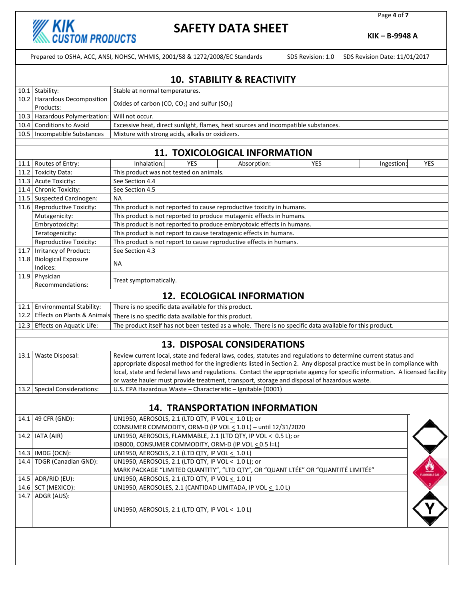

Page **4** of **7**

**KIK – B-9948 A**

Prepared to OSHA, ACC, ANSI, NOHSC, WHMIS, 2001/58 & 1272/2008/EC Standards SDS Revision: 1.0 SDS Revision Date: 11/01/2017

|      | <b>10. STABILITY &amp; REACTIVITY</b>                                                                                                     |                                                                                                                                                |  |  |  |
|------|-------------------------------------------------------------------------------------------------------------------------------------------|------------------------------------------------------------------------------------------------------------------------------------------------|--|--|--|
|      | 10.1 Stability:                                                                                                                           | Stable at normal temperatures.                                                                                                                 |  |  |  |
|      | 10.2 Hazardous Decomposition<br>Products:                                                                                                 | Oxides of carbon (CO, $CO2$ ) and sulfur (SO <sub>2</sub> )                                                                                    |  |  |  |
|      | 10.3 Hazardous Polymerization:                                                                                                            | Will not occur.                                                                                                                                |  |  |  |
| 10.4 | <b>Conditions to Avoid</b>                                                                                                                | Excessive heat, direct sunlight, flames, heat sources and incompatible substances.                                                             |  |  |  |
|      | 10.5   Incompatible Substances                                                                                                            | Mixture with strong acids, alkalis or oxidizers.                                                                                               |  |  |  |
|      |                                                                                                                                           |                                                                                                                                                |  |  |  |
|      |                                                                                                                                           | 11. TOXICOLOGICAL INFORMATION                                                                                                                  |  |  |  |
| 11.1 | Routes of Entry:                                                                                                                          | Inhalation:<br>Absorption:<br>YES<br><b>YES</b><br><b>YES</b><br>Ingestion:                                                                    |  |  |  |
| 11.2 | <b>Toxicity Data:</b>                                                                                                                     | This product was not tested on animals.                                                                                                        |  |  |  |
|      | 11.3 Acute Toxicity:                                                                                                                      | See Section 4.4                                                                                                                                |  |  |  |
|      | 11.4 Chronic Toxicity:                                                                                                                    | See Section 4.5                                                                                                                                |  |  |  |
|      | 11.5 Suspected Carcinogen:                                                                                                                | <b>NA</b>                                                                                                                                      |  |  |  |
|      | 11.6 Reproductive Toxicity:                                                                                                               | This product is not reported to cause reproductive toxicity in humans.                                                                         |  |  |  |
|      | Mutagenicity:<br>Embryotoxicity:                                                                                                          | This product is not reported to produce mutagenic effects in humans.<br>This product is not reported to produce embryotoxic effects in humans. |  |  |  |
|      |                                                                                                                                           | This product is not report to cause teratogenic effects in humans.                                                                             |  |  |  |
|      | Teratogenicity:<br>Reproductive Toxicity:                                                                                                 | This product is not report to cause reproductive effects in humans.                                                                            |  |  |  |
|      | 11.7 Irritancy of Product:                                                                                                                | See Section 4.3                                                                                                                                |  |  |  |
| 11.8 | <b>Biological Exposure</b>                                                                                                                |                                                                                                                                                |  |  |  |
|      | Indices:                                                                                                                                  | NА                                                                                                                                             |  |  |  |
| 11.9 | Physician                                                                                                                                 |                                                                                                                                                |  |  |  |
|      | Recommendations:                                                                                                                          | Treat symptomatically.                                                                                                                         |  |  |  |
|      |                                                                                                                                           | <b>12. ECOLOGICAL INFORMATION</b>                                                                                                              |  |  |  |
|      | 12.1 Environmental Stability:                                                                                                             | There is no specific data available for this product.                                                                                          |  |  |  |
|      | 12.2 Effects on Plants & Animals                                                                                                          | There is no specific data available for this product.                                                                                          |  |  |  |
|      | The product itself has not been tested as a whole. There is no specific data available for this product.<br>12.3 Effects on Aquatic Life: |                                                                                                                                                |  |  |  |
|      |                                                                                                                                           | <b>13. DISPOSAL CONSIDERATIONS</b>                                                                                                             |  |  |  |
|      | 13.1 Waste Disposal:                                                                                                                      | Review current local, state and federal laws, codes, statutes and regulations to determine current status and                                  |  |  |  |
|      | appropriate disposal method for the ingredients listed in Section 2. Any disposal practice must be in compliance with                     |                                                                                                                                                |  |  |  |
|      |                                                                                                                                           | local, state and federal laws and regulations. Contact the appropriate agency for specific information. A licensed facility                    |  |  |  |
|      |                                                                                                                                           | or waste hauler must provide treatment, transport, storage and disposal of hazardous waste.                                                    |  |  |  |
|      | 13.2 Special Considerations:                                                                                                              | U.S. EPA Hazardous Waste - Characteristic - Ignitable (D001)                                                                                   |  |  |  |
|      |                                                                                                                                           |                                                                                                                                                |  |  |  |
|      |                                                                                                                                           | <b>14. TRANSPORTATION INFORMATION</b>                                                                                                          |  |  |  |
|      | 14.1 49 CFR (GND):                                                                                                                        | UN1950, AEROSOLS, 2.1 (LTD QTY, IP VOL < 1.0 L); or                                                                                            |  |  |  |
|      |                                                                                                                                           | CONSUMER COMMODITY, ORM-D (IP VOL < 1.0 L) - until 12/31/2020                                                                                  |  |  |  |
|      | 14.2   IATA (AIR)                                                                                                                         | UN1950, AEROSOLS, FLAMMABLE, 2.1 (LTD QTY, IP VOL < 0.5 L); or                                                                                 |  |  |  |
|      |                                                                                                                                           | ID8000, CONSUMER COMMODITY, ORM-D (IP VOL < 0.5 I=L)                                                                                           |  |  |  |
|      | 14.3 IMDG (OCN):                                                                                                                          | UN1950, AEROSOLS, 2.1 (LTD QTY, IP VOL $\leq 1.0$ L)                                                                                           |  |  |  |
|      | 14.4 TDGR (Canadian GND):                                                                                                                 | UN1950, AEROSOLS, 2.1 (LTD QTY, IP VOL < 1.0 L); or                                                                                            |  |  |  |
|      |                                                                                                                                           | MARK PACKAGE "LIMITED QUANTITY", "LTD QTY", OR "QUANT LTÉE" OR "QUANTITÉ LIMITÉE"                                                              |  |  |  |
|      | 14.5 ADR/RID (EU):                                                                                                                        | UN1950, AEROSOLS, 2.1 (LTD QTY, IP VOL < 1.0 L)                                                                                                |  |  |  |
|      | 14.6 SCT (MEXICO):<br>14.7 ADGR (AUS):                                                                                                    | UN1950, AEROSOLES, 2.1 (CANTIDAD LIMITADA, IP VOL < 1.0 L)                                                                                     |  |  |  |
|      |                                                                                                                                           | UN1950, AEROSOLS, 2.1 (LTD QTY, IP VOL < 1.0 L)                                                                                                |  |  |  |
|      |                                                                                                                                           |                                                                                                                                                |  |  |  |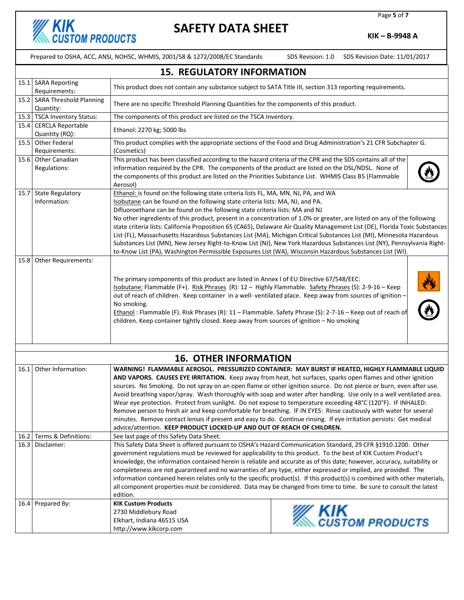

Page **5** of **7**

**KIK – B-9948 A**

Prepared to OSHA, ACC, ANSI, NOHSC, WHMIS, 2001/58 & 1272/2008/EC Standards SDS Revision: 1.0 SDS Revision Date: 11/01/2017

|      | <b>15. REGULATORY INFORMATION</b>         |                                                                                                                                                                                                                                                                                                                                                                                                                                                                                                                                                                                                                                                                                                                                           |                                                                                                                                                                                                                                                                                                                                                                                                                                                                                                                                                                                                                                                                                                            |  |  |  |
|------|-------------------------------------------|-------------------------------------------------------------------------------------------------------------------------------------------------------------------------------------------------------------------------------------------------------------------------------------------------------------------------------------------------------------------------------------------------------------------------------------------------------------------------------------------------------------------------------------------------------------------------------------------------------------------------------------------------------------------------------------------------------------------------------------------|------------------------------------------------------------------------------------------------------------------------------------------------------------------------------------------------------------------------------------------------------------------------------------------------------------------------------------------------------------------------------------------------------------------------------------------------------------------------------------------------------------------------------------------------------------------------------------------------------------------------------------------------------------------------------------------------------------|--|--|--|
|      | 15.1 SARA Reporting<br>Requirements:      | This product does not contain any substance subject to SATA Title III, section 313 reporting requirements.                                                                                                                                                                                                                                                                                                                                                                                                                                                                                                                                                                                                                                |                                                                                                                                                                                                                                                                                                                                                                                                                                                                                                                                                                                                                                                                                                            |  |  |  |
|      | 15.2 SARA Threshold Planning<br>Quantity: | There are no specific Threshold Planning Quantities for the components of this product.                                                                                                                                                                                                                                                                                                                                                                                                                                                                                                                                                                                                                                                   |                                                                                                                                                                                                                                                                                                                                                                                                                                                                                                                                                                                                                                                                                                            |  |  |  |
|      | 15.3 TSCA Inventory Status:               | The components of this product are listed on the TSCA Inventory.                                                                                                                                                                                                                                                                                                                                                                                                                                                                                                                                                                                                                                                                          |                                                                                                                                                                                                                                                                                                                                                                                                                                                                                                                                                                                                                                                                                                            |  |  |  |
|      | 15.4 CERCLA Reportable<br>Quantity (RQ):  | Ethanol: 2270 kg; 5000 lbs                                                                                                                                                                                                                                                                                                                                                                                                                                                                                                                                                                                                                                                                                                                |                                                                                                                                                                                                                                                                                                                                                                                                                                                                                                                                                                                                                                                                                                            |  |  |  |
|      | 15.5 Other Federal<br>Requirements:       | This product complies with the appropriate sections of the Food and Drug Administration's 21 CFR Subchapter G.<br>(Cosmetics)                                                                                                                                                                                                                                                                                                                                                                                                                                                                                                                                                                                                             |                                                                                                                                                                                                                                                                                                                                                                                                                                                                                                                                                                                                                                                                                                            |  |  |  |
|      | 15.6 Other Canadian<br>Regulations:       | This product has been classified according to the hazard criteria of the CPR and the SDS contains all of the<br>information required by the CPR. The components of the product are listed on the DSL/NDSL. None of<br>the components of this product are listed on the Priorities Substance List. WHMIS Class B5 (Flammable<br>Aerosol)                                                                                                                                                                                                                                                                                                                                                                                                   |                                                                                                                                                                                                                                                                                                                                                                                                                                                                                                                                                                                                                                                                                                            |  |  |  |
|      | 15.7 State Regulatory<br>Information:     | Ethanol: is found on the following state criteria lists FL, MA, MN, NJ, PA, and WA<br>Isobutane can be found on the following state criteria lists: MA, NJ, and PA.<br>Difluoroethane can be found on the following state criteria lists: MA and NJ<br>to-Know List (PA), Washington Permissible Exposures List (WA), Wisconsin Hazardous Substances List (WI).                                                                                                                                                                                                                                                                                                                                                                           | No other ingredients of this product, present in a concentration of 1.0% or greater, are listed on any of the following<br>state criteria lists: California Proposition 65 (CA65), Delaware Air Quality Management List (DE), Florida Toxic Substances<br>List (FL), Massachusetts Hazardous Substances List (MA), Michigan Critical Substances List (MI), Minnesota Hazardous<br>Substances List (MN), New Jersey Right-to-Know List (NJ), New York Hazardous Substances List (NY), Pennsylvania Right-                                                                                                                                                                                                   |  |  |  |
| 15.8 | Other Requirements:                       | The primary components of this product are listed in Annex I of EU Directive 67/548/EEC:<br>Isobutane: Flammable (F+). Risk Phrases (R): 12 - Highly Flammable. Safety Phrases (S): 2-9-16 - Keep<br>out of reach of children. Keep container in a well-ventilated place. Keep away from sources of ignition -<br>No smoking.<br>Ethanol: Flammable (F). Risk Phrases (R): 11 - Flammable. Safety Phrase (S): 2-7-16 - Keep out of reach of<br>children. Keep container tightly closed. Keep away from sources of ignition - No smoking                                                                                                                                                                                                   |                                                                                                                                                                                                                                                                                                                                                                                                                                                                                                                                                                                                                                                                                                            |  |  |  |
|      | <b>16. OTHER INFORMATION</b>              |                                                                                                                                                                                                                                                                                                                                                                                                                                                                                                                                                                                                                                                                                                                                           |                                                                                                                                                                                                                                                                                                                                                                                                                                                                                                                                                                                                                                                                                                            |  |  |  |
|      | 16.1 Other Information:                   | Wear eye protection. Protect from sunlight. Do not expose to temperature exceeding 48°C (120°F). IF INHALED:<br>advice/attention. KEEP PRODUCT LOCKED-UP AND OUT OF REACH OF CHILDREN.                                                                                                                                                                                                                                                                                                                                                                                                                                                                                                                                                    | WARNING! FLAMMABLE AEROSOL. PRESSURIZED CONTAINER: MAY BURST IF HEATED, HIGHLY FLAMMABLE LIQUID<br>AND VAPORS. CAUSES EYE IRRITATION. Keep away from heat, hot surfaces, sparks open flames and other ignition<br>sources. No Smoking. Do not spray on an open flame or other ignition source. Do not pierce or burn, even after use.<br>Avoid breathing vapor/spray. Wash thoroughly with soap and water after handling. Use only in a well ventilated area.<br>Remove person to fresh air and keep comfortable for breathing. IF IN EYES: Rinse cautiously with water for several<br>minutes. Remove contact lenses if present and easy to do. Continue rinsing. If eye irritation persists: Get medical |  |  |  |
|      | 16.2 Terms & Definitions:                 | See last page of this Safety Data Sheet.                                                                                                                                                                                                                                                                                                                                                                                                                                                                                                                                                                                                                                                                                                  |                                                                                                                                                                                                                                                                                                                                                                                                                                                                                                                                                                                                                                                                                                            |  |  |  |
| 16.3 | Disclaimer:                               | This Safety Data Sheet is offered pursuant to OSHA's Hazard Communication Standard, 29 CFR §1910.1200. Other<br>government regulations must be reviewed for applicability to this product. To the best of KIK Custom Product's<br>knowledge, the information contained herein is reliable and accurate as of this date; however, accuracy, suitability or<br>completeness are not guaranteed and no warranties of any type, either expressed or implied, are provided. The<br>information contained herein relates only to the specific product(s). If this product(s) is combined with other materials,<br>all component properties must be considered. Data may be changed from time to time. Be sure to consult the latest<br>edition. |                                                                                                                                                                                                                                                                                                                                                                                                                                                                                                                                                                                                                                                                                                            |  |  |  |
|      | 16.4 Prepared By:                         | <b>KIK Custom Products</b><br>2730 Middlebury Road<br>Elkhart, Indiana 46515 USA<br>http://www.kikcorp.com                                                                                                                                                                                                                                                                                                                                                                                                                                                                                                                                                                                                                                | <b>KIK</b><br>CUSTOM PRODUCTS                                                                                                                                                                                                                                                                                                                                                                                                                                                                                                                                                                                                                                                                              |  |  |  |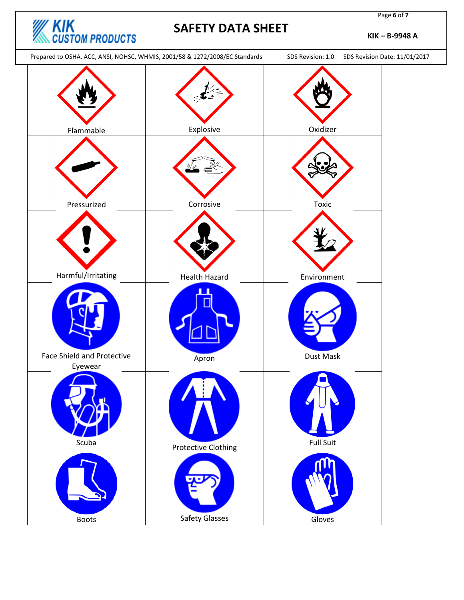

Page **6** of **7**

**KIK – B-9948 A**